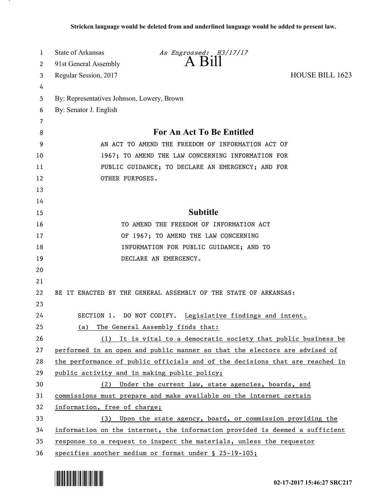| 1      | State of Arkansas<br>As Engrossed: H3/17/17<br>$A$ $B1$                      |  |
|--------|------------------------------------------------------------------------------|--|
| 2      | 91st General Assembly                                                        |  |
| 3      | Regular Session, 2017<br><b>HOUSE BILL 1623</b>                              |  |
| 4      |                                                                              |  |
| 5      | By: Representatives Johnson, Lowery, Brown                                   |  |
| 6      | By: Senator J. English                                                       |  |
| 7<br>8 | For An Act To Be Entitled                                                    |  |
| 9      | AN ACT TO AMEND THE FREEDOM OF INFORMATION ACT OF                            |  |
| 10     | 1967; TO AMEND THE LAW CONCERNING INFORMATION FOR                            |  |
| 11     |                                                                              |  |
| 12     | PUBLIC GUIDANCE; TO DECLARE AN EMERGENCY; AND FOR<br>OTHER PURPOSES.         |  |
| 13     |                                                                              |  |
| 14     |                                                                              |  |
| 15     | <b>Subtitle</b>                                                              |  |
| 16     | TO AMEND THE FREEDOM OF INFORMATION ACT                                      |  |
| 17     | OF 1967; TO AMEND THE LAW CONCERNING                                         |  |
| 18     | INFORMATION FOR PUBLIC GUIDANCE; AND TO                                      |  |
| 19     | DECLARE AN EMERGENCY.                                                        |  |
| 20     |                                                                              |  |
| 21     |                                                                              |  |
| 22     | BE IT ENACTED BY THE GENERAL ASSEMBLY OF THE STATE OF ARKANSAS:              |  |
| 23     |                                                                              |  |
| 24     | SECTION 1. DO NOT CODIFY. Legislative findings and intent.                   |  |
| 25     | The General Assembly finds that:<br>(a)                                      |  |
| 26     | (1) It is vital to a democratic society that public business be              |  |
| 27     | performed in an open and public manner so that the electors are advised of   |  |
| 28     | the performance of public officials and of the decisions that are reached in |  |
| 29     | public activity and in making public policy;                                 |  |
| 30     | (2) Under the current law, state agencies, boards, and                       |  |
| 31     | commissions must prepare and make available on the internet certain          |  |
| 32     | information, free of charge;                                                 |  |
| 33     | (3) Upon the state agency, board, or commission providing the                |  |
| 34     | information on the internet, the information provided is deemed a sufficient |  |
| 35     | response to a request to inspect the materials, unless the requestor         |  |
| 36     | specifies another medium or format under § 25-19-105;                        |  |



.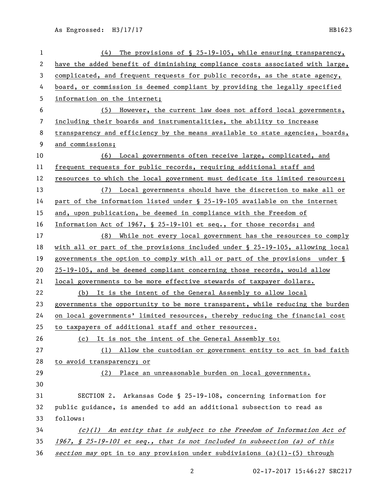| $\mathbf{1}$   | The provisions of $\S$ 25-19-105, while ensuring transparency,<br>(4)         |
|----------------|-------------------------------------------------------------------------------|
| 2              | have the added benefit of diminishing compliance costs associated with large, |
| 3              | complicated, and frequent requests for public records, as the state agency,   |
| 4              | board, or commission is deemed compliant by providing the legally specified   |
| 5              | information on the internet;                                                  |
| 6              | (5) However, the current law does not afford local governments,               |
| $\overline{7}$ | including their boards and instrumentalities, the ability to increase         |
| 8              | transparency and efficiency by the means available to state agencies, boards, |
| 9              | and commissions;                                                              |
| 10             | (6) Local governments often receive large, complicated, and                   |
| 11             | frequent requests for public records, requiring additional staff and          |
| 12             | resources to which the local government must dedicate its limited resources;  |
| 13             | (7) Local governments should have the discretion to make all or               |
| 14             | part of the information listed under § 25-19-105 available on the internet    |
| 15             | and, upon publication, be deemed in compliance with the Freedom of            |
| 16             | Information Act of 1967, § 25-19-101 et seq., for those records; and          |
| 17             | While not every local government has the resources to comply<br>(8)           |
| 18             | with all or part of the provisions included under § 25-19-105, allowing local |
| 19             | governments the option to comply with all or part of the provisions under §   |
| 20             | 25-19-105, and be deemed compliant concerning those records, would allow      |
| 21             | local governments to be more effective stewards of taxpayer dollars.          |
| 22             | (b) It is the intent of the General Assembly to allow local                   |
| 23             | governments the opportunity to be more transparent, while reducing the burden |
| 24             | on local governments' limited resources, thereby reducing the financial cost  |
| 25             | to taxpayers of additional staff and other resources.                         |
| 26             | (c) It is not the intent of the General Assembly to:                          |
| 27             | (1) Allow the custodian or government entity to act in bad faith              |
| 28             | to avoid transparency; or                                                     |
| 29             | (2) Place an unreasonable burden on local governments.                        |
| 30             |                                                                               |
| 31             | SECTION 2. Arkansas Code § 25-19-108, concerning information for              |
| 32             | public guidance, is amended to add an additional subsection to read as        |
| 33             | follows:                                                                      |
| 34             | $(c)(1)$ An entity that is subject to the Freedom of Information Act of       |
| 35             | 1967, § 25-19-101 et seq., that is not included in subsection (a) of this     |
| 36             | section may opt in to any provision under subdivisions (a)(1)-(5) through     |

02-17-2017 15:46:27 SRC217